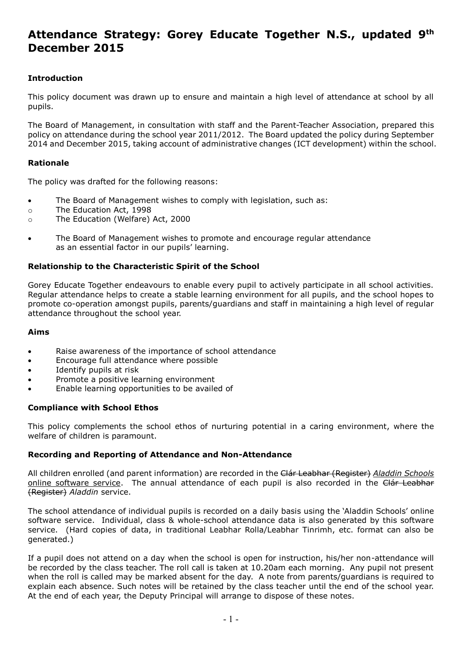# **Attendance Strategy: Gorey Educate Together N.S., updated 9 th December 2015**

# **Introduction**

This policy document was drawn up to ensure and maintain a high level of attendance at school by all pupils.

The Board of Management, in consultation with staff and the Parent-Teacher Association, prepared this policy on attendance during the school year 2011/2012. The Board updated the policy during September 2014 and December 2015, taking account of administrative changes (ICT development) within the school.

# **Rationale**

The policy was drafted for the following reasons:

- The Board of Management wishes to comply with legislation, such as:
- o The Education Act, 1998
- o The Education (Welfare) Act, 2000
- The Board of Management wishes to promote and encourage regular attendance as an essential factor in our pupils' learning.

# **Relationship to the Characteristic Spirit of the School**

Gorey Educate Together endeavours to enable every pupil to actively participate in all school activities. Regular attendance helps to create a stable learning environment for all pupils, and the school hopes to promote co-operation amongst pupils, parents/guardians and staff in maintaining a high level of regular attendance throughout the school year.

#### **Aims**

- Raise awareness of the importance of school attendance
- Encourage full attendance where possible
- Identify pupils at risk
- Promote a positive learning environment
- Enable learning opportunities to be availed of

# **Compliance with School Ethos**

This policy complements the school ethos of nurturing potential in a caring environment, where the welfare of children is paramount.

# **Recording and Reporting of Attendance and Non-Attendance**

All children enrolled (and parent information) are recorded in the Clár Leabhar (Register) *Aladdin Schools* online software service. The annual attendance of each pupil is also recorded in the Clár Leabhar (Register) *Aladdin* service.

The school attendance of individual pupils is recorded on a daily basis using the 'Aladdin Schools' online software service. Individual, class & whole-school attendance data is also generated by this software service. (Hard copies of data, in traditional Leabhar Rolla/Leabhar Tinrimh, etc. format can also be generated.)

If a pupil does not attend on a day when the school is open for instruction, his/her non-attendance will be recorded by the class teacher. The roll call is taken at 10.20am each morning. Any pupil not present when the roll is called may be marked absent for the day. A note from parents/guardians is required to explain each absence. Such notes will be retained by the class teacher until the end of the school year. At the end of each year, the Deputy Principal will arrange to dispose of these notes.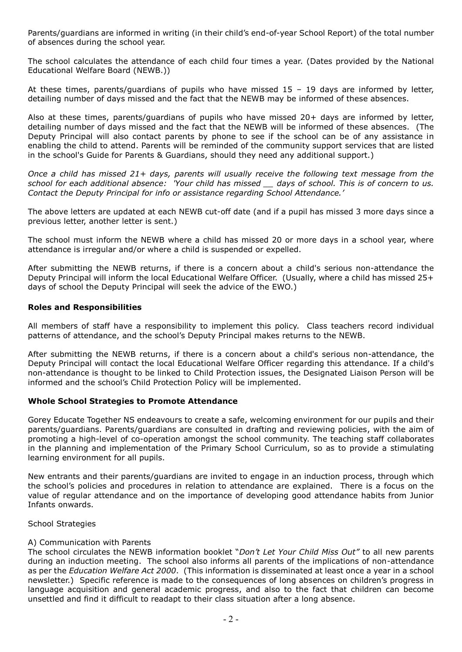Parents/guardians are informed in writing (in their child's end-of-year School Report) of the total number of absences during the school year.

The school calculates the attendance of each child four times a year. (Dates provided by the National Educational Welfare Board (NEWB.))

At these times, parents/guardians of pupils who have missed 15 – 19 days are informed by letter, detailing number of days missed and the fact that the NEWB may be informed of these absences.

Also at these times, parents/guardians of pupils who have missed 20+ days are informed by letter, detailing number of days missed and the fact that the NEWB will be informed of these absences. (The Deputy Principal will also contact parents by phone to see if the school can be of any assistance in enabling the child to attend. Parents will be reminded of the community support services that are listed in the school's Guide for Parents & Guardians, should they need any additional support.)

*Once a child has missed 21+ days, parents will usually receive the following text message from the school for each additional absence: 'Your child has missed \_\_ days of school. This is of concern to us. Contact the Deputy Principal for info or assistance regarding School Attendance.'*

The above letters are updated at each NEWB cut-off date (and if a pupil has missed 3 more days since a previous letter, another letter is sent.)

The school must inform the NEWB where a child has missed 20 or more days in a school year, where attendance is irregular and/or where a child is suspended or expelled.

After submitting the NEWB returns, if there is a concern about a child's serious non-attendance the Deputy Principal will inform the local Educational Welfare Officer. (Usually, where a child has missed 25+ days of school the Deputy Principal will seek the advice of the EWO.)

#### **Roles and Responsibilities**

All members of staff have a responsibility to implement this policy. Class teachers record individual patterns of attendance, and the school's Deputy Principal makes returns to the NEWB.

After submitting the NEWB returns, if there is a concern about a child's serious non-attendance, the Deputy Principal will contact the local Educational Welfare Officer regarding this attendance. If a child's non-attendance is thought to be linked to Child Protection issues, the Designated Liaison Person will be informed and the school's Child Protection Policy will be implemented.

# **Whole School Strategies to Promote Attendance**

Gorey Educate Together NS endeavours to create a safe, welcoming environment for our pupils and their parents/guardians. Parents/guardians are consulted in drafting and reviewing policies, with the aim of promoting a high-level of co-operation amongst the school community. The teaching staff collaborates in the planning and implementation of the Primary School Curriculum, so as to provide a stimulating learning environment for all pupils.

New entrants and their parents/guardians are invited to engage in an induction process, through which the school's policies and procedures in relation to attendance are explained. There is a focus on the value of regular attendance and on the importance of developing good attendance habits from Junior Infants onwards.

School Strategies

#### A) Communication with Parents

The school circulates the NEWB information booklet "*Don't Let Your Child Miss Out"* to all new parents during an induction meeting. The school also informs all parents of the implications of non-attendance as per the *Education Welfare Act 2000*. (This information is disseminated at least once a year in a school newsletter.) Specific reference is made to the consequences of long absences on children's progress in language acquisition and general academic progress, and also to the fact that children can become unsettled and find it difficult to readapt to their class situation after a long absence.